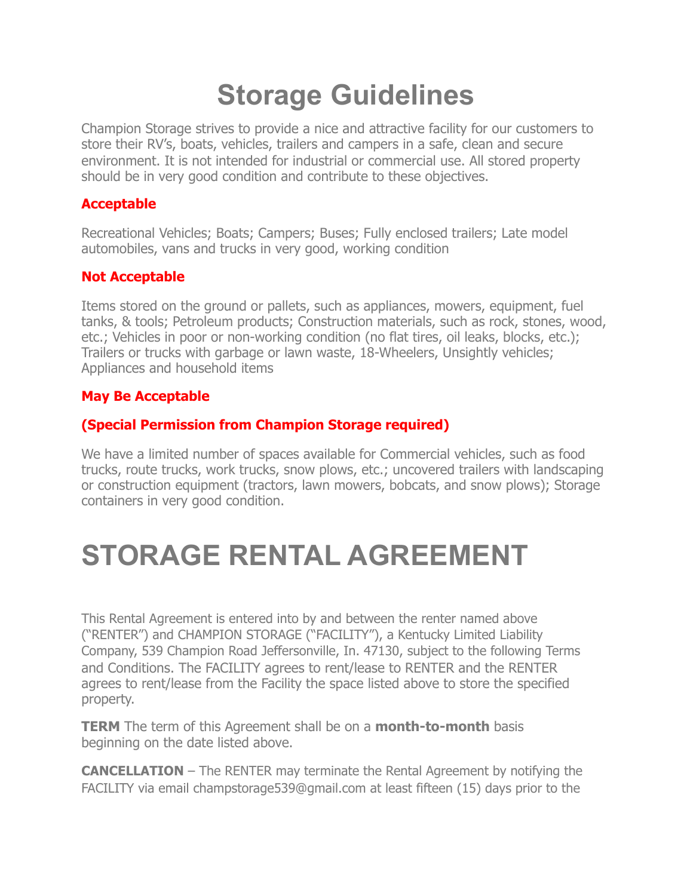# **Storage Guidelines**

Champion Storage strives to provide a nice and attractive facility for our customers to store their RV's, boats, vehicles, trailers and campers in a safe, clean and secure environment. It is not intended for industrial or commercial use. All stored property should be in very good condition and contribute to these objectives.

#### **Acceptable**

Recreational Vehicles; Boats; Campers; Buses; Fully enclosed trailers; Late model automobiles, vans and trucks in very good, working condition

#### **Not Acceptable**

Items stored on the ground or pallets, such as appliances, mowers, equipment, fuel tanks, & tools; Petroleum products; Construction materials, such as rock, stones, wood, etc.; Vehicles in poor or non-working condition (no flat tires, oil leaks, blocks, etc.); Trailers or trucks with garbage or lawn waste, 18-Wheelers, Unsightly vehicles; Appliances and household items

### **May Be Acceptable**

#### **(Special Permission from Champion Storage required)**

We have a limited number of spaces available for Commercial vehicles, such as food trucks, route trucks, work trucks, snow plows, etc.; uncovered trailers with landscaping or construction equipment (tractors, lawn mowers, bobcats, and snow plows); Storage containers in very good condition.

## **STORAGE RENTAL AGREEMENT**

This Rental Agreement is entered into by and between the renter named above ("RENTER") and CHAMPION STORAGE ("FACILITY"), a Kentucky Limited Liability Company, 539 Champion Road Jeffersonville, In. 47130, subject to the following Terms and Conditions. The FACILITY agrees to rent/lease to RENTER and the RENTER agrees to rent/lease from the Facility the space listed above to store the specified property.

**TERM** The term of this Agreement shall be on a **month-to-month** basis beginning on the date listed above.

**CANCELLATION** – The RENTER may terminate the Rental Agreement by notifying the FACILITY via email champstorage539@gmail.com at least fifteen (15) days prior to the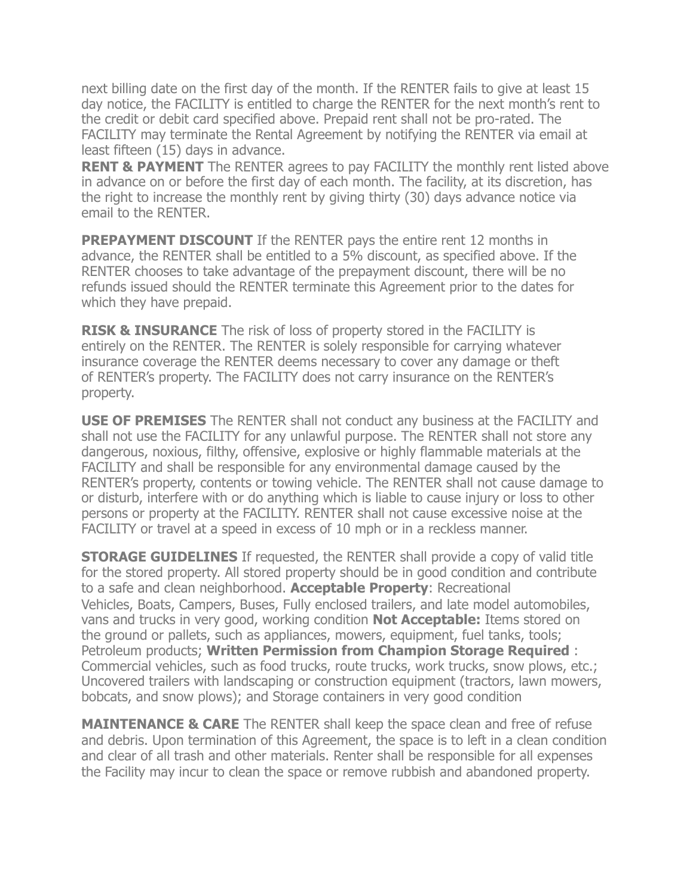next billing date on the first day of the month. If the RENTER fails to give at least 15 day notice, the FACILITY is entitled to charge the RENTER for the next month's rent to the credit or debit card specified above. Prepaid rent shall not be pro-rated. The FACILITY may terminate the Rental Agreement by notifying the RENTER via email at least fifteen (15) days in advance.

**RENT & PAYMENT** The RENTER agrees to pay FACILITY the monthly rent listed above in advance on or before the first day of each month. The facility, at its discretion, has the right to increase the monthly rent by giving thirty (30) days advance notice via email to the RENTER.

**PREPAYMENT DISCOUNT** If the RENTER pays the entire rent 12 months in advance, the RENTER shall be entitled to a 5% discount, as specified above. If the RENTER chooses to take advantage of the prepayment discount, there will be no refunds issued should the RENTER terminate this Agreement prior to the dates for which they have prepaid.

**RISK & INSURANCE** The risk of loss of property stored in the FACILITY is entirely on the RENTER. The RENTER is solely responsible for carrying whatever insurance coverage the RENTER deems necessary to cover any damage or theft of RENTER's property. The FACILITY does not carry insurance on the RENTER's property.

**USE OF PREMISES** The RENTER shall not conduct any business at the FACILITY and shall not use the FACILITY for any unlawful purpose. The RENTER shall not store any dangerous, noxious, filthy, offensive, explosive or highly flammable materials at the FACILITY and shall be responsible for any environmental damage caused by the RENTER's property, contents or towing vehicle. The RENTER shall not cause damage to or disturb, interfere with or do anything which is liable to cause injury or loss to other persons or property at the FACILITY. RENTER shall not cause excessive noise at the FACILITY or travel at a speed in excess of 10 mph or in a reckless manner.

**STORAGE GUIDELINES** If requested, the RENTER shall provide a copy of valid title for the stored property. All stored property should be in good condition and contribute to a safe and clean neighborhood. **Acceptable Property**: Recreational Vehicles, Boats, Campers, Buses, Fully enclosed trailers, and late model automobiles, vans and trucks in very good, working condition **Not Acceptable:** Items stored on the ground or pallets, such as appliances, mowers, equipment, fuel tanks, tools; Petroleum products; **Written Permission from Champion Storage Required** : Commercial vehicles, such as food trucks, route trucks, work trucks, snow plows, etc.; Uncovered trailers with landscaping or construction equipment (tractors, lawn mowers, bobcats, and snow plows); and Storage containers in very good condition

**MAINTENANCE & CARE** The RENTER shall keep the space clean and free of refuse and debris. Upon termination of this Agreement, the space is to left in a clean condition and clear of all trash and other materials. Renter shall be responsible for all expenses the Facility may incur to clean the space or remove rubbish and abandoned property.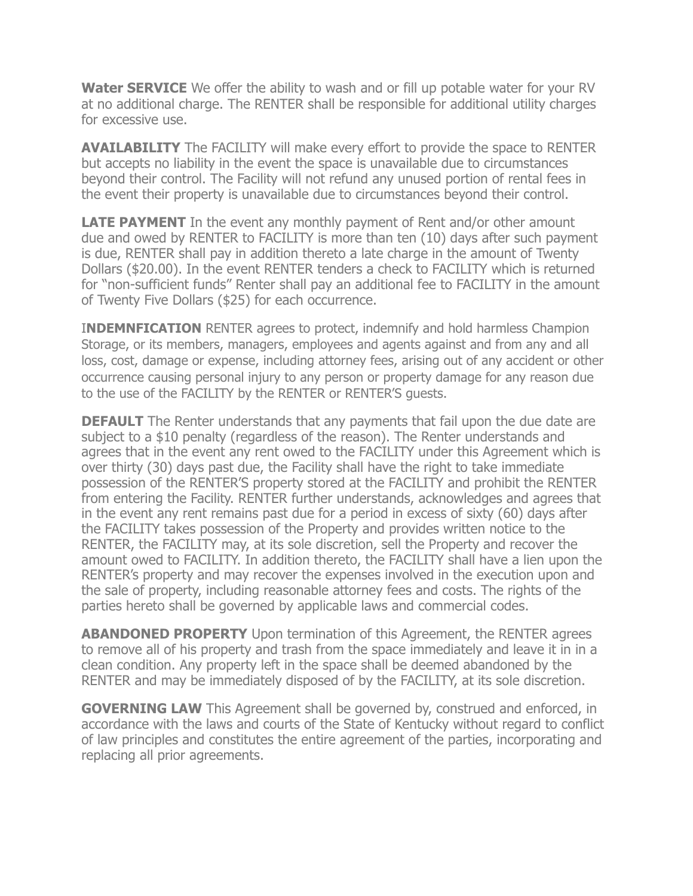**Water SERVICE** We offer the ability to wash and or fill up potable water for your RV at no additional charge. The RENTER shall be responsible for additional utility charges for excessive use.

**AVAILABILITY** The FACILITY will make every effort to provide the space to RENTER but accepts no liability in the event the space is unavailable due to circumstances beyond their control. The Facility will not refund any unused portion of rental fees in the event their property is unavailable due to circumstances beyond their control.

**LATE PAYMENT** In the event any monthly payment of Rent and/or other amount due and owed by RENTER to FACILITY is more than ten (10) days after such payment is due, RENTER shall pay in addition thereto a late charge in the amount of Twenty Dollars (\$20.00). In the event RENTER tenders a check to FACILITY which is returned for "non-sufficient funds" Renter shall pay an additional fee to FACILITY in the amount of Twenty Five Dollars (\$25) for each occurrence.

**INDEMNFICATION** RENTER agrees to protect, indemnify and hold harmless Champion Storage, or its members, managers, employees and agents against and from any and all loss, cost, damage or expense, including attorney fees, arising out of any accident or other occurrence causing personal injury to any person or property damage for any reason due to the use of the FACILITY by the RENTER or RENTER'S guests.

**DEFAULT** The Renter understands that any payments that fail upon the due date are subject to a \$10 penalty (regardless of the reason). The Renter understands and agrees that in the event any rent owed to the FACILITY under this Agreement which is over thirty (30) days past due, the Facility shall have the right to take immediate possession of the RENTER'S property stored at the FACILITY and prohibit the RENTER from entering the Facility. RENTER further understands, acknowledges and agrees that in the event any rent remains past due for a period in excess of sixty (60) days after the FACILITY takes possession of the Property and provides written notice to the RENTER, the FACILITY may, at its sole discretion, sell the Property and recover the amount owed to FACILITY. In addition thereto, the FACILITY shall have a lien upon the RENTER's property and may recover the expenses involved in the execution upon and the sale of property, including reasonable attorney fees and costs. The rights of the parties hereto shall be governed by applicable laws and commercial codes.

**ABANDONED PROPERTY** Upon termination of this Agreement, the RENTER agrees to remove all of his property and trash from the space immediately and leave it in in a clean condition. Any property left in the space shall be deemed abandoned by the RENTER and may be immediately disposed of by the FACILITY, at its sole discretion.

**GOVERNING LAW** This Agreement shall be governed by, construed and enforced, in accordance with the laws and courts of the State of Kentucky without regard to conflict of law principles and constitutes the entire agreement of the parties, incorporating and replacing all prior agreements.